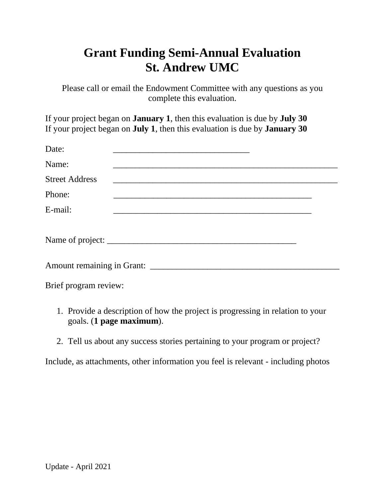## **Grant Funding Semi-Annual Evaluation St. Andrew UMC**

Please call or email the Endowment Committee with any questions as you complete this evaluation.

If your project began on **January 1**, then this evaluation is due by **July 30** If your project began on **July 1**, then this evaluation is due by **January 30**

| Brief program review: |  |  |  |                                                                                                                      |  |
|-----------------------|--|--|--|----------------------------------------------------------------------------------------------------------------------|--|
|                       |  |  |  | <u> 1989 - Johann Stein, mars an deutscher Stein und der Stein und der Stein und der Stein und der Stein und der</u> |  |

- 1. Provide a description of how the project is progressing in relation to your goals. (**1 page maximum**).
- 2. Tell us about any success stories pertaining to your program or project?

Include, as attachments, other information you feel is relevant - including photos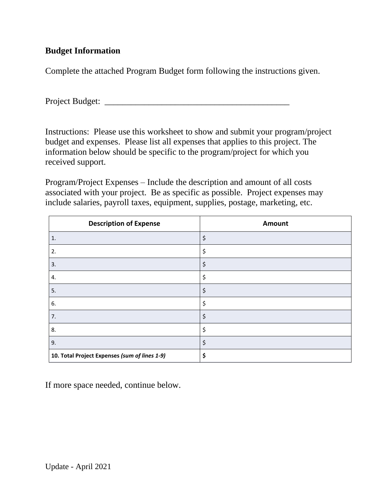## **Budget Information**

Complete the attached Program Budget form following the instructions given.

Project Budget:

Instructions: Please use this worksheet to show and submit your program/project budget and expenses. Please list all expenses that applies to this project. The information below should be specific to the program/project for which you received support.

Program/Project Expenses – Include the description and amount of all costs associated with your project. Be as specific as possible. Project expenses may include salaries, payroll taxes, equipment, supplies, postage, marketing, etc.

| <b>Description of Expense</b>                 | Amount |
|-----------------------------------------------|--------|
| $\mathbf{1}$ .                                | \$     |
| 2.                                            | \$     |
| 3.                                            | \$     |
| 4.                                            | \$     |
| 5.                                            | \$     |
| 6.                                            | \$     |
| 7.                                            | \$     |
| 8.                                            | \$     |
| 9.                                            | \$     |
| 10. Total Project Expenses (sum of lines 1-9) | \$     |

If more space needed, continue below.